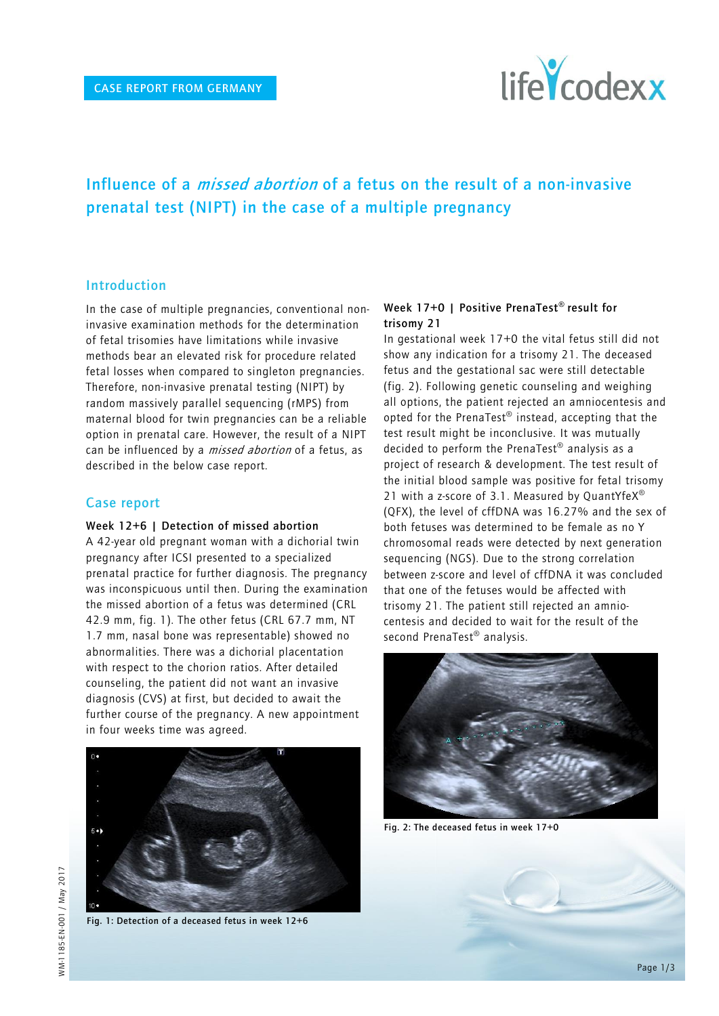

# **Influence of a missed abortion of a fetus on the result of a non-invasive prenatal test (NIPT) in the case of a multiple pregnancy**

# **Introduction**

In the case of multiple pregnancies, conventional noninvasive examination methods for the determination of fetal trisomies have limitations while invasive methods bear an elevated risk for procedure related fetal losses when compared to singleton pregnancies. Therefore, non-invasive prenatal testing (NIPT) by random massively parallel sequencing (rMPS) from maternal blood for twin pregnancies can be a reliable option in prenatal care. However, the result of a NIPT can be influenced by a *missed abortion* of a fetus, as described in the below case report.

#### **Case report**

#### **Week 12+6 | Detection of missed abortion**

A 42-year old pregnant woman with a dichorial twin pregnancy after ICSI presented to a specialized prenatal practice for further diagnosis. The pregnancy was inconspicuous until then. During the examination the missed abortion of a fetus was determined (CRL 42.9 mm, fig. 1). The other fetus (CRL 67.7 mm, NT 1.7 mm, nasal bone was representable) showed no abnormalities. There was a dichorial placentation with respect to the chorion ratios. After detailed counseling, the patient did not want an invasive diagnosis (CVS) at first, but decided to await the further course of the pregnancy. A new appointment in four weeks time was agreed.





**Fig. 1: Detection of a deceased fetus in week 12+6**

## **Week 17+0 | Positive PrenaTest® result for trisomy 21**

In gestational week 17+0 the vital fetus still did not show any indication for a trisomy 21. The deceased fetus and the gestational sac were still detectable (fig. 2). Following genetic counseling and weighing all options, the patient rejected an amniocentesis and opted for the PrenaTest® instead, accepting that the test result might be inconclusive. It was mutually decided to perform the PrenaTest® analysis as a project of research & development. The test result of the initial blood sample was positive for fetal trisomy 21 with a z-score of 3.1. Measured by QuantYfe $X^{\circledast}$ (QFX), the level of cffDNA was 16.27% and the sex of both fetuses was determined to be female as no Y chromosomal reads were detected by next generation sequencing (NGS). Due to the strong correlation between z-score and level of cffDNA it was concluded that one of the fetuses would be affected with trisomy 21. The patient still rejected an amniocentesis and decided to wait for the result of the second PrenaTest<sup>®</sup> analysis.



**Fig. 2: The deceased fetus in week 17+0**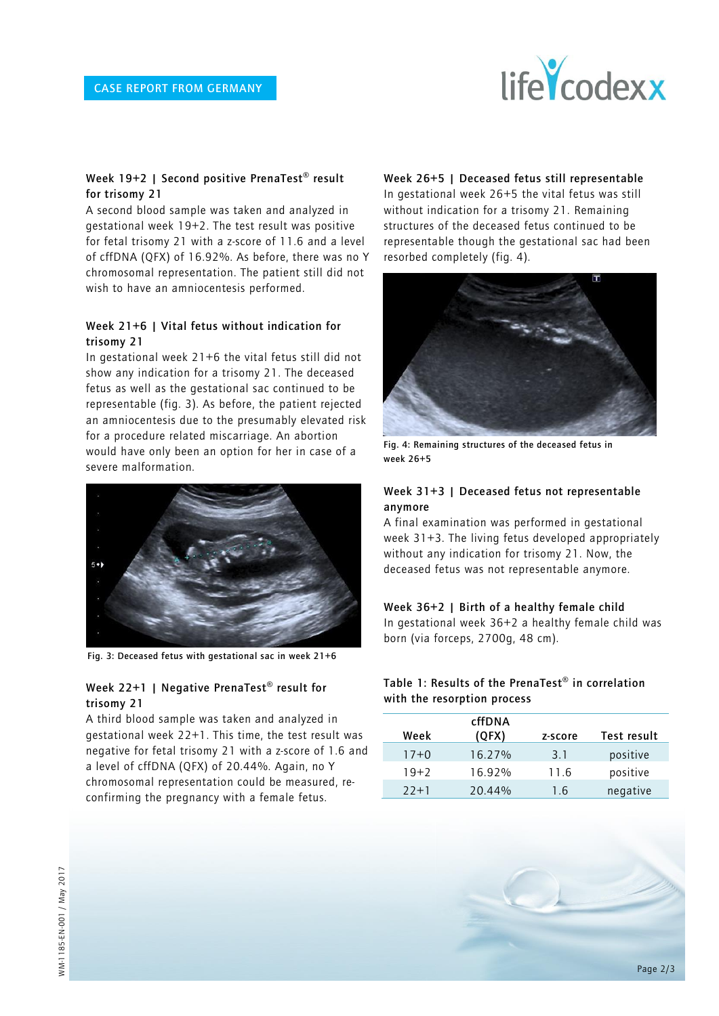

#### **Week 19+2 | Second positive PrenaTest® result for trisomy 21**

A second blood sample was taken and analyzed in gestational week 19+2. The test result was positive for fetal trisomy 21 with a z-score of 11.6 and a level of cffDNA (QFX) of 16.92%. As before, there was no Y chromosomal representation. The patient still did not wish to have an amniocentesis performed.

#### **Week 21+6 | Vital fetus without indication for trisomy 21**

In gestational week 21+6 the vital fetus still did not show any indication for a trisomy 21. The deceased fetus as well as the gestational sac continued to be representable (fig. 3). As before, the patient rejected an amniocentesis due to the presumably elevated risk for a procedure related miscarriage. An abortion would have only been an option for her in case of a severe malformation.



**Fig. 3: Deceased fetus with gestational sac in week 21+6**

## **Week 22+1 | Negative PrenaTest® result for trisomy 21**

A third blood sample was taken and analyzed in gestational week 22+1. This time, the test result was negative for fetal trisomy 21 with a z-score of 1.6 and a level of cffDNA (QFX) of 20.44%. Again, no Y chromosomal representation could be measured, reconfirming the pregnancy with a female fetus.

**Week 26+5 | Deceased fetus still representable**

In gestational week 26+5 the vital fetus was still without indication for a trisomy 21. Remaining structures of the deceased fetus continued to be representable though the gestational sac had been resorbed completely (fig. 4).



**Fig. 4: Remaining structures of the deceased fetus in week 26+5**

#### **Week 31+3 | Deceased fetus not representable anymore**

A final examination was performed in gestational week 31+3. The living fetus developed appropriately without any indication for trisomy 21. Now, the deceased fetus was not representable anymore.

#### **Week 36+2 | Birth of a healthy female child**

In gestational week 36+2 a healthy female child was born (via forceps, 2700g, 48 cm).

**Table 1: Results of the PrenaTest® in correlation with the resorption process**

| Week     | cffDNA<br>(QFX) | z-score | Test result |
|----------|-----------------|---------|-------------|
| $17+0$   | 16.27%          | 3.1     | positive    |
| $19+2$   | 16.92%          | 11.6    | positive    |
| $77 + 1$ | 20.44%          | 1.6     | negative    |